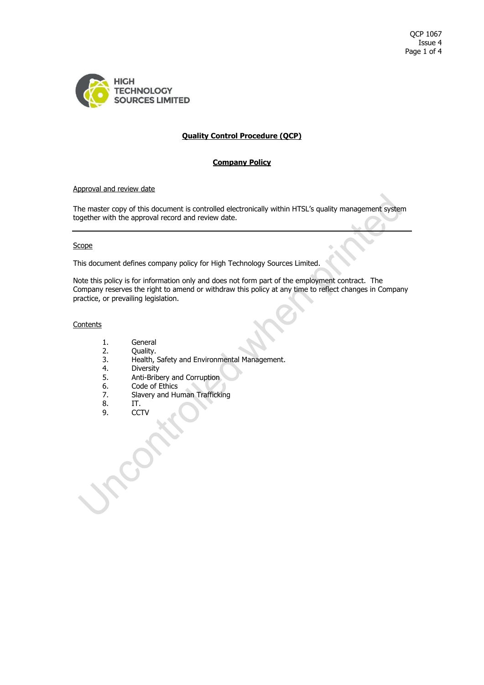

# **Quality Control Procedure (QCP)**

# **Company Policy**

#### Approval and review date

The master copy of this document is controlled electronically within HTSL's quality management system together with the approval record and review date.

## **Scope**

This document defines company policy for High Technology Sources Limited.

Note this policy is for information only and does not form part of the employment contract. The Company reserves the right to amend or withdraw this policy at any time to reflect changes in Company practice, or prevailing legislation.

## **Contents**

- 
- 1. General<br>2. Quality. 2. Quality.
- 3. Health, Safety and Environmental Management.<br>4. Diversity
- **Diversity**
- 5. Anti-Bribery and Corruption
- 6. Code of Ethics
- 7. Slavery and Human Trafficking
- 8. IT.
- 9. CCTV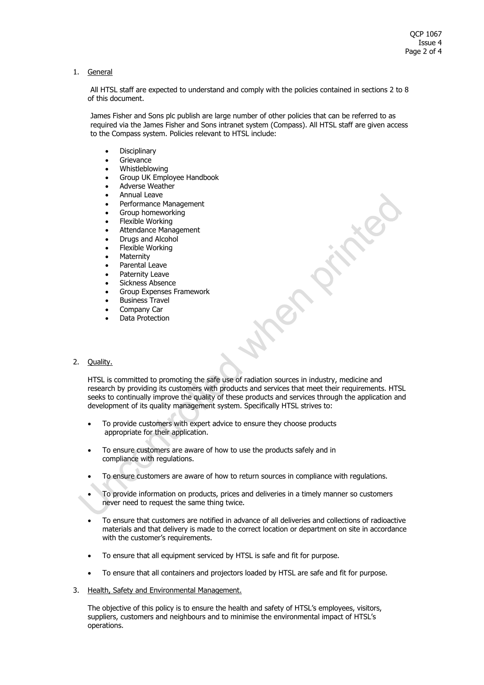### 1. General

All HTSL staff are expected to understand and comply with the policies contained in sections 2 to 8 of this document.

James Fisher and Sons plc publish are large number of other policies that can be referred to as required via the James Fisher and Sons intranet system (Compass). All HTSL staff are given access to the Compass system. Policies relevant to HTSL include:

- **Disciplinary**
- **Grievance**
- Whistleblowing
- Group UK Employee Handbook
- Adverse Weather
- Annual Leave
- Performance Management
- Group homeworking
- Flexible Working
- Attendance Management
- Drugs and Alcohol
- Flexible Working
- Maternity
- Parental Leave
- Paternity Leave
- Sickness Absence
- Group Expenses Framework
- Business Travel
- Company Car
- Data Protection

# 2. Quality.

HTSL is committed to promoting the safe use of radiation sources in industry, medicine and research by providing its customers with products and services that meet their requirements. HTSL seeks to continually improve the quality of these products and services through the application and development of its quality management system. Specifically HTSL strives to:

- To provide customers with expert advice to ensure they choose products appropriate for their application.
- To ensure customers are aware of how to use the products safely and in compliance with regulations.
- To ensure customers are aware of how to return sources in compliance with regulations.
- To provide information on products, prices and deliveries in a timely manner so customers never need to request the same thing twice.
- To ensure that customers are notified in advance of all deliveries and collections of radioactive materials and that delivery is made to the correct location or department on site in accordance with the customer's requirements.
- To ensure that all equipment serviced by HTSL is safe and fit for purpose.
- To ensure that all containers and projectors loaded by HTSL are safe and fit for purpose.
- 3. Health, Safety and Environmental Management.

The objective of this policy is to ensure the health and safety of HTSL's employees, visitors, suppliers, customers and neighbours and to minimise the environmental impact of HTSL's operations.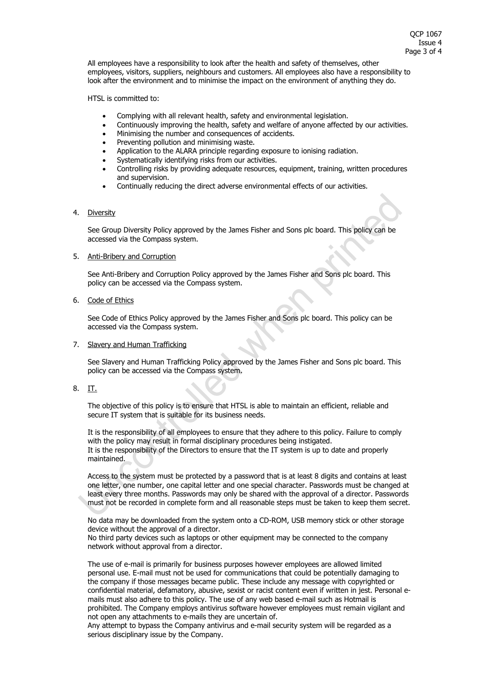All employees have a responsibility to look after the health and safety of themselves, other employees, visitors, suppliers, neighbours and customers. All employees also have a responsibility to look after the environment and to minimise the impact on the environment of anything they do.

HTSL is committed to:

- Complying with all relevant health, safety and environmental legislation.
- Continuously improving the health, safety and welfare of anyone affected by our activities.
- Minimising the number and consequences of accidents.
- Preventing pollution and minimising waste.
- Application to the ALARA principle regarding exposure to ionising radiation.
- Systematically identifying risks from our activities.
- Controlling risks by providing adequate resources, equipment, training, written procedures and supervision.
- Continually reducing the direct adverse environmental effects of our activities.

#### 4. Diversity

See Group Diversity Policy approved by the James Fisher and Sons plc board. This policy can be accessed via the Compass system.

#### 5. Anti-Bribery and Corruption

See Anti-Bribery and Corruption Policy approved by the James Fisher and Sons plc board. This policy can be accessed via the Compass system.

## 6. Code of Ethics

See Code of Ethics Policy approved by the James Fisher and Sons plc board. This policy can be accessed via the Compass system.

### 7. Slavery and Human Trafficking

See Slavery and Human Trafficking Policy approved by the James Fisher and Sons plc board. This policy can be accessed via the Compass system.

8. IT.

The objective of this policy is to ensure that HTSL is able to maintain an efficient, reliable and secure IT system that is suitable for its business needs.

It is the responsibility of all employees to ensure that they adhere to this policy. Failure to comply with the policy may result in formal disciplinary procedures being instigated. It is the responsibility of the Directors to ensure that the IT system is up to date and properly maintained.

Access to the system must be protected by a password that is at least 8 digits and contains at least one letter, one number, one capital letter and one special character. Passwords must be changed at least every three months. Passwords may only be shared with the approval of a director. Passwords must not be recorded in complete form and all reasonable steps must be taken to keep them secret.

No data may be downloaded from the system onto a CD-ROM, USB memory stick or other storage device without the approval of a director.

No third party devices such as laptops or other equipment may be connected to the company network without approval from a director.

The use of e-mail is primarily for business purposes however employees are allowed limited personal use. E-mail must not be used for communications that could be potentially damaging to the company if those messages became public. These include any message with copyrighted or confidential material, defamatory, abusive, sexist or racist content even if written in jest. Personal emails must also adhere to this policy. The use of any web based e-mail such as Hotmail is prohibited. The Company employs antivirus software however employees must remain vigilant and not open any attachments to e-mails they are uncertain of.

Any attempt to bypass the Company antivirus and e-mail security system will be regarded as a serious disciplinary issue by the Company.